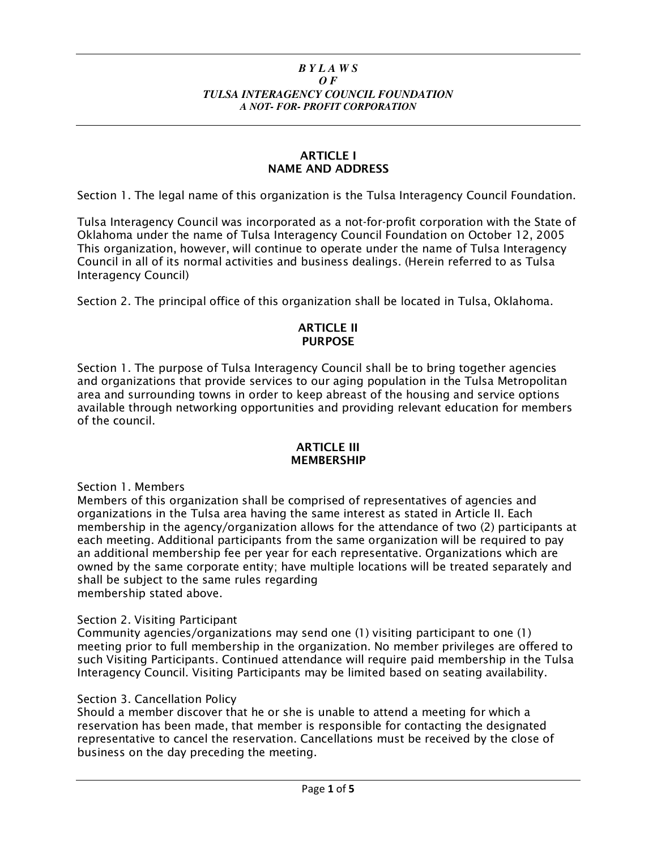#### *B Y L A W S O F TULSA INTERAGENCY COUNCIL FOUNDATION A NOT- FOR- PROFIT CORPORATION*

#### ARTICLE I NAME AND ADDRESS

Section 1. The legal name of this organization is the Tulsa Interagency Council Foundation.

Tulsa Interagency Council was incorporated as a not-for-profit corporation with the State of Oklahoma under the name of Tulsa Interagency Council Foundation on October 12, 2005 This organization, however, will continue to operate under the name of Tulsa Interagency Council in all of its normal activities and business dealings. (Herein referred to as Tulsa Interagency Council)

Section 2. The principal office of this organization shall be located in Tulsa, Oklahoma.

### ARTICLE II **PURPOSE**

Section 1. The purpose of Tulsa Interagency Council shall be to bring together agencies and organizations that provide services to our aging population in the Tulsa Metropolitan area and surrounding towns in order to keep abreast of the housing and service options available through networking opportunities and providing relevant education for members of the council.

#### ARTICLE III **MEMBERSHIP**

Section 1. Members

Members of this organization shall be comprised of representatives of agencies and organizations in the Tulsa area having the same interest as stated in Article II. Each membership in the agency/organization allows for the attendance of two (2) participants at each meeting. Additional participants from the same organization will be required to pay an additional membership fee per year for each representative. Organizations which are owned by the same corporate entity; have multiple locations will be treated separately and shall be subject to the same rules regarding membership stated above.

Section 2. Visiting Participant

Community agencies/organizations may send one (1) visiting participant to one (1) meeting prior to full membership in the organization. No member privileges are offered to such Visiting Participants. Continued attendance will require paid membership in the Tulsa Interagency Council. Visiting Participants may be limited based on seating availability.

### Section 3. Cancellation Policy

Should a member discover that he or she is unable to attend a meeting for which a reservation has been made, that member is responsible for contacting the designated representative to cancel the reservation. Cancellations must be received by the close of business on the day preceding the meeting.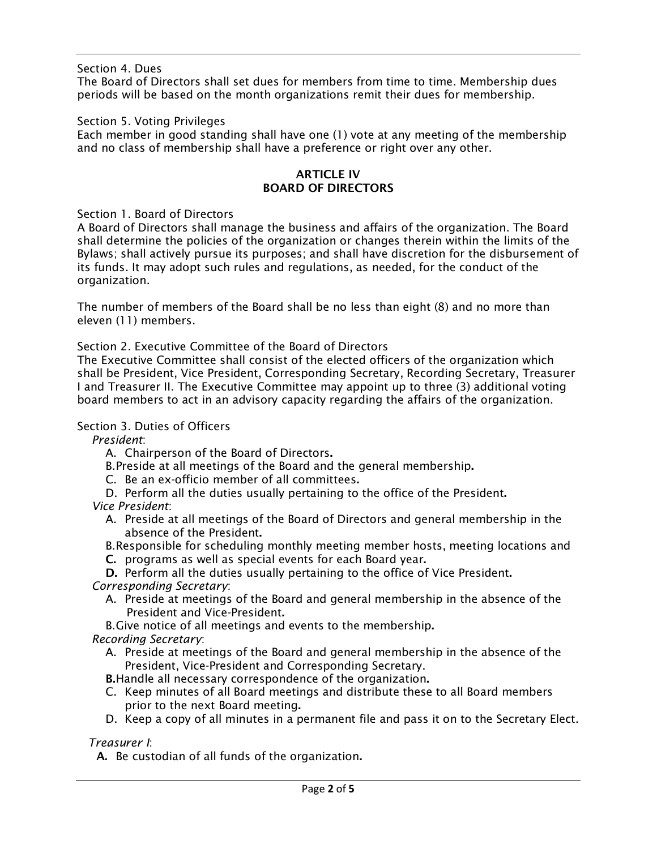Section 4. Dues

The Board of Directors shall set dues for members from time to time. Membership dues periods will be based on the month organizations remit their dues for membership.

Section 5. Voting Privileges

Each member in good standing shall have one (1) vote at any meeting of the membership and no class of membership shall have a preference or right over any other.

## ARTICLE IV BOARD OF DIRECTORS

Section 1. Board of Directors

A Board of Directors shall manage the business and affairs of the organization. The Board shall determine the policies of the organization or changes therein within the limits of the Bylaws; shall actively pursue its purposes; and shall have discretion for the disbursement of its funds. It may adopt such rules and regulations, as needed, for the conduct of the organization.

The number of members of the Board shall be no less than eight (8) and no more than eleven (11) members.

Section 2. Executive Committee of the Board of Directors

The Executive Committee shall consist of the elected officers of the organization which shall be President, Vice President, Corresponding Secretary, Recording Secretary, Treasurer I and Treasurer II. The Executive Committee may appoint up to three (3) additional voting board members to act in an advisory capacity regarding the affairs of the organization.

# Section 3. Duties of Officers

President:

A. Chairperson of the Board of Directors.

B.Preside at all meetings of the Board and the general membership.

- C. Be an ex-officio member of all committees.
- D. Perform all the duties usually pertaining to the office of the President.

Vice President:

- A. Preside at all meetings of the Board of Directors and general membership in the absence of the President.
- B.Responsible for scheduling monthly meeting member hosts, meeting locations and
- C. programs as well as special events for each Board year.

D. Perform all the duties usually pertaining to the office of Vice President.

Corresponding Secretary:

A. Preside at meetings of the Board and general membership in the absence of the President and Vice-President.

B.Give notice of all meetings and events to the membership.

Recording Secretary:

A. Preside at meetings of the Board and general membership in the absence of the President, Vice-President and Corresponding Secretary.

B.Handle all necessary correspondence of the organization.

- C. Keep minutes of all Board meetings and distribute these to all Board members prior to the next Board meeting.
- D. Keep a copy of all minutes in a permanent file and pass it on to the Secretary Elect.

Treasurer I:

A. Be custodian of all funds of the organization.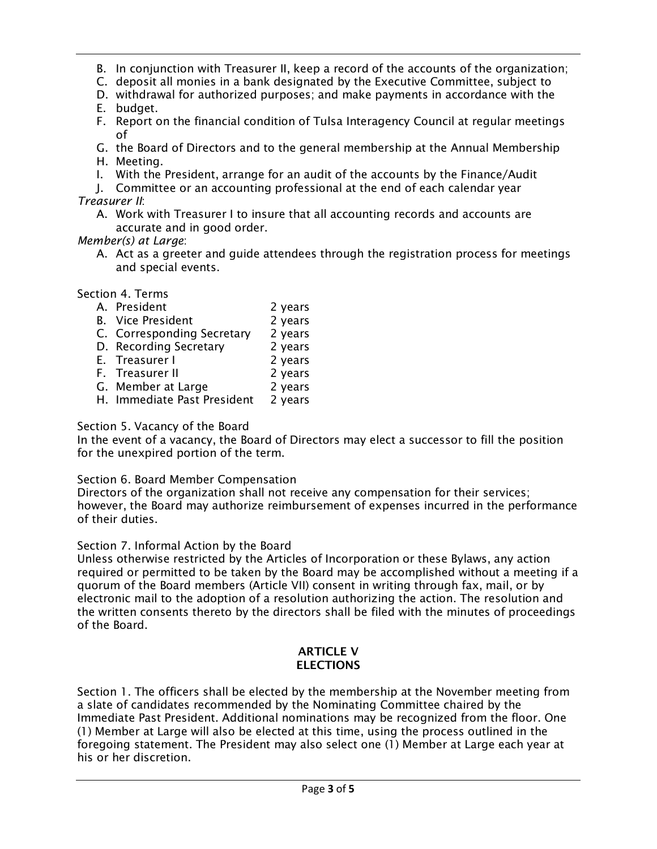B. In conjunction with Treasurer II, keep a record of the accounts of the organization;

- C. deposit all monies in a bank designated by the Executive Committee, subject to
- D. withdrawal for authorized purposes; and make payments in accordance with the
- E. budget.
- F. Report on the financial condition of Tulsa Interagency Council at regular meetings of
- G. the Board of Directors and to the general membership at the Annual Membership H. Meeting.
- I. With the President, arrange for an audit of the accounts by the Finance/Audit
- J. Committee or an accounting professional at the end of each calendar year Treasurer II:
	- A. Work with Treasurer I to insure that all accounting records and accounts are accurate and in good order.

# Member(s) at Large:

A. Act as a greeter and guide attendees through the registration process for meetings and special events.

Section 4. Terms

- A. President 2 years
- B. Vice President 2 years
- C. Corresponding Secretary 2 years
- D. Recording Secretary 2 years
- E. Treasurer I 2 years
- F. Treasurer II
- G. Member at Large 2 years
- H. Immediate Past President 2 years

# Section 5. Vacancy of the Board

In the event of a vacancy, the Board of Directors may elect a successor to fill the position for the unexpired portion of the term.

# Section 6. Board Member Compensation

Directors of the organization shall not receive any compensation for their services; however, the Board may authorize reimbursement of expenses incurred in the performance of their duties.

# Section 7. Informal Action by the Board

Unless otherwise restricted by the Articles of Incorporation or these Bylaws, any action required or permitted to be taken by the Board may be accomplished without a meeting if a quorum of the Board members (Article VII) consent in writing through fax, mail, or by electronic mail to the adoption of a resolution authorizing the action. The resolution and the written consents thereto by the directors shall be filed with the minutes of proceedings of the Board.

#### ARTICLE V **ELECTIONS**

Section 1. The officers shall be elected by the membership at the November meeting from a slate of candidates recommended by the Nominating Committee chaired by the Immediate Past President. Additional nominations may be recognized from the floor. One (1) Member at Large will also be elected at this time, using the process outlined in the foregoing statement. The President may also select one (1) Member at Large each year at his or her discretion.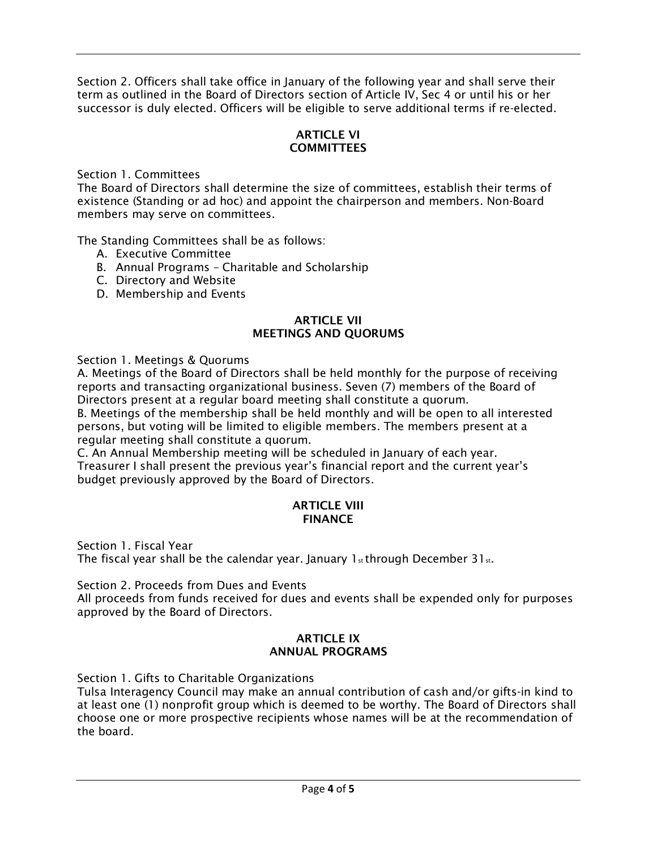Section 2. Officers shall take office in January of the following year and shall serve their term as outlined in the Board of Directors section of Article IV, Sec 4 or until his or her successor is duly elected. Officers will be eligible to serve additional terms if re-elected.

## ARTICLE VI **COMMITTEES**

Section 1. Committees

The Board of Directors shall determine the size of committees, establish their terms of existence (Standing or ad hoc) and appoint the chairperson and members. Non-Board members may serve on committees.

The Standing Committees shall be as follows:

- A. Executive Committee
- B. Annual Programs Charitable and Scholarship
- C. Directory and Website
- D. Membership and Events

### ARTICLE VII MEETINGS AND QUORUMS

Section 1. Meetings & Quorums

A. Meetings of the Board of Directors shall be held monthly for the purpose of receiving reports and transacting organizational business. Seven (7) members of the Board of Directors present at a regular board meeting shall constitute a quorum.

B. Meetings of the membership shall be held monthly and will be open to all interested persons, but voting will be limited to eligible members. The members present at a regular meeting shall constitute a quorum.

C. An Annual Membership meeting will be scheduled in January of each year. Treasurer I shall present the previous year's financial report and the current year's budget previously approved by the Board of Directors.

### ARTICLE VIII **FINANCE**

Section 1. Fiscal Year The fiscal year shall be the calendar year. January  $1_{st}$  through December 31 $_{st}$ .

Section 2. Proceeds from Dues and Events

All proceeds from funds received for dues and events shall be expended only for purposes approved by the Board of Directors.

## ARTICLE IX ANNUAL PROGRAMS

Section 1. Gifts to Charitable Organizations

Tulsa Interagency Council may make an annual contribution of cash and/or gifts-in kind to at least one (1) nonprofit group which is deemed to be worthy. The Board of Directors shall choose one or more prospective recipients whose names will be at the recommendation of the board.